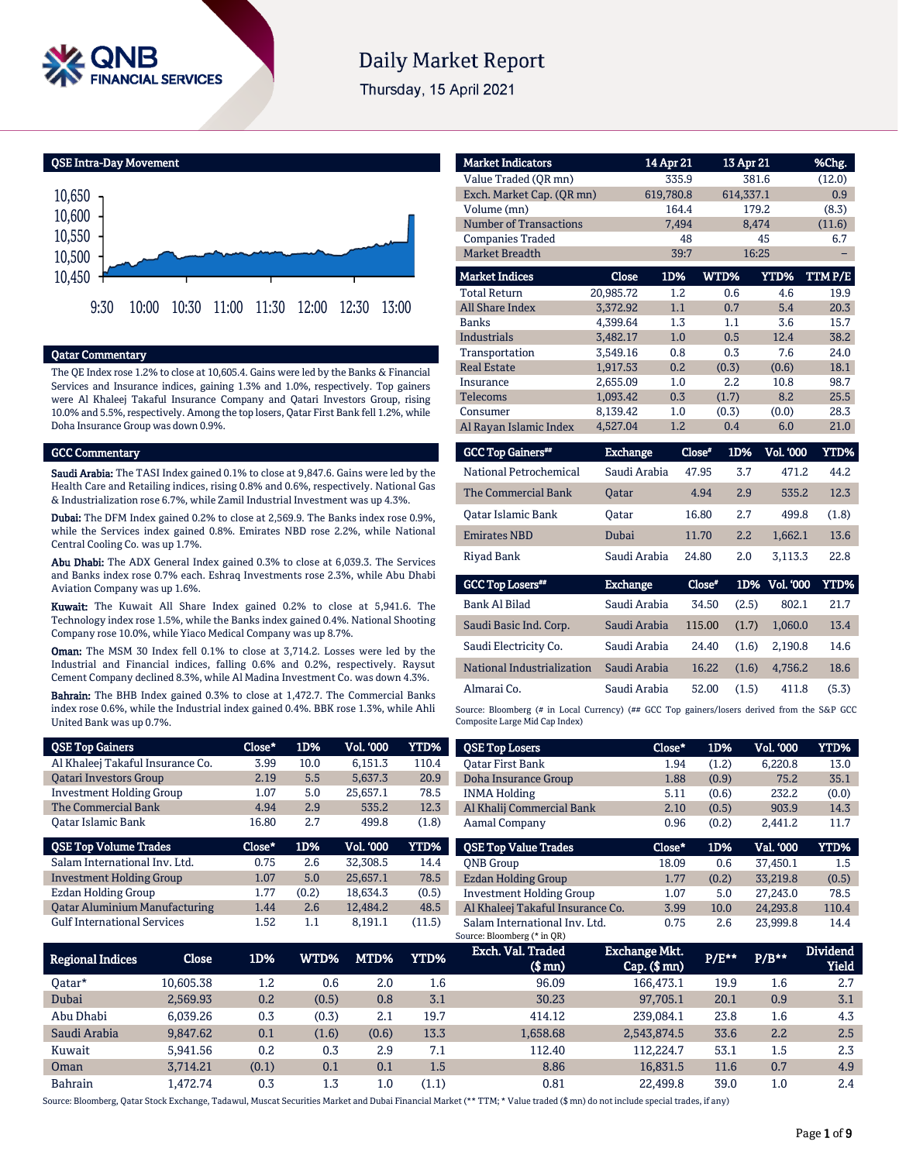

# **Daily Market Report**

Thursday, 15 April 2021

QSE Intra-Day Movement



#### Qatar Commentary

The QE Index rose 1.2% to close at 10,605.4. Gains were led by the Banks & Financial Services and Insurance indices, gaining 1.3% and 1.0%, respectively. Top gainers were Al Khaleej Takaful Insurance Company and Qatari Investors Group, rising 10.0% and 5.5%, respectively. Among the top losers, Qatar First Bank fell 1.2%, while Doha Insurance Group was down 0.9%.

#### GCC Commentary

Saudi Arabia: The TASI Index gained 0.1% to close at 9,847.6. Gains were led by the Health Care and Retailing indices, rising 0.8% and 0.6%, respectively. National Gas & Industrialization rose 6.7%, while Zamil Industrial Investment was up 4.3%.

Dubai: The DFM Index gained 0.2% to close at 2,569.9. The Banks index rose 0.9%, while the Services index gained 0.8%. Emirates NBD rose 2.2%, while National Central Cooling Co. was up 1.7%.

Abu Dhabi: The ADX General Index gained 0.3% to close at 6,039.3. The Services and Banks index rose 0.7% each. Eshraq Investments rose 2.3%, while Abu Dhabi Aviation Company was up 1.6%.

Kuwait: The Kuwait All Share Index gained 0.2% to close at 5,941.6. The Technology index rose 1.5%, while the Banks index gained 0.4%. National Shooting Company rose 10.0%, while Yiaco Medical Company was up 8.7%.

Oman: The MSM 30 Index fell 0.1% to close at 3,714.2. Losses were led by the Industrial and Financial indices, falling 0.6% and 0.2%, respectively. Raysut Cement Company declined 8.3%, while Al Madina Investment Co. was down 4.3%.

Bahrain: The BHB Index gained 0.3% to close at 1,472.7. The Commercial Banks index rose 0.6%, while the Industrial index gained 0.4%. BBK rose 1.3%, while Ahli United Bank was up 0.7%.

| <b>QSE Top Gainers</b>               | Close* | 1D%   | Vol. '000 | YTD%  |
|--------------------------------------|--------|-------|-----------|-------|
| Al Khaleej Takaful Insurance Co.     | 3.99   | 10.0  | 6.151.3   | 110.4 |
| <b>Oatari Investors Group</b>        | 2.19   | 5.5   | 5.637.3   | 20.9  |
| <b>Investment Holding Group</b>      | 1.07   | 5.0   | 25,657.1  | 78.5  |
| The Commercial Bank                  | 4.94   | 2.9   | 535.2     | 12.3  |
| Oatar Islamic Bank                   | 16.80  | 2.7   | 499.8     | (1.8) |
|                                      |        |       |           |       |
| <b>QSE Top Volume Trades</b>         | Close* | 1D%   | Vol. '000 | YTD%  |
| Salam International Inv. Ltd.        | 0.75   | 2.6   | 32,308.5  | 14.4  |
| <b>Investment Holding Group</b>      | 1.07   | 5.0   | 25.657.1  | 78.5  |
| <b>Ezdan Holding Group</b>           | 1.77   | (0.2) | 18.634.3  | (0.5) |
| <b>Qatar Aluminium Manufacturing</b> | 1.44   | 2.6   | 12,484.2  | 48.5  |

| <b>Market Indicators</b>      |                 | 14 Apr 21 | 13 Apr 21                       |                       | %Chg.           |
|-------------------------------|-----------------|-----------|---------------------------------|-----------------------|-----------------|
| Value Traded (OR mn)          |                 | 335.9     |                                 | 381.6                 | (12.0)          |
| Exch. Market Cap. (QR mn)     |                 | 619,780.8 | 614,337.1                       |                       | 0.9             |
| Volume (mn)                   |                 | 164.4     |                                 | 179.2                 | (8.3)           |
| <b>Number of Transactions</b> |                 | 7,494     |                                 | 8,474                 | (11.6)          |
| <b>Companies Traded</b>       |                 | 48        |                                 | 45                    | 6.7             |
| <b>Market Breadth</b>         |                 | 39:7      |                                 | 16:25                 |                 |
| <b>Market Indices</b>         | Close           | 1D%       | WTD%                            | YTD%                  | TTM P/E         |
| <b>Total Return</b>           | 20,985.72       | $1.2\,$   | 0.6                             | 4.6                   | 19.9            |
| <b>All Share Index</b>        | 3,372.92        | 1.1       | 0.7                             | 5.4                   | 20.3            |
| <b>Banks</b>                  | 4,399.64        | 1.3       | 1.1                             | 3.6                   | 15.7            |
| <b>Industrials</b>            | 3,482.17        | 1.0       | 0.5                             | 12.4                  | 38.2            |
| Transportation                | 3,549.16        | 0.8       | 0.3                             | 7.6                   | 24.0            |
| <b>Real Estate</b>            | 1,917.53        | 0.2       | (0.3)                           | (0.6)                 | 18.1            |
| Insurance                     | 2,655.09        | 1.0       | 2.2                             | 10.8                  | 98.7            |
| Telecoms                      | 1,093.42        | 0.3       | (1.7)                           | 8.2                   | 25.5            |
| Consumer                      | 8,139.42        | 1.0       | (0.3)                           | (0.0)                 | 28.3            |
| Al Rayan Islamic Index        | 4,527.04        | 1.2       | 0.4                             | 6.0                   | 21.0            |
| <b>GCC Top Gainers**</b>      | <b>Exchange</b> | Close"    | 1D%                             | <b>Vol. '000</b>      | YTD%            |
| National Petrochemical        | Saudi Arabia    |           | 47.95<br>3.7                    | 471.2                 | 44.2            |
| $m \alpha$ $m \gamma$         | $\sim$ $\sim$   |           | $\sim$ $\sim$<br>$\overline{1}$ | $n \times n \times n$ | 10 <sub>2</sub> |

| The Commercial Bank       | <b>Oatar</b> | 4.94  | 2.9 | 535.2   | 12.3  |
|---------------------------|--------------|-------|-----|---------|-------|
| <b>Qatar Islamic Bank</b> | Oatar        | 16.80 | 2.7 | 499.8   | (1.8) |
| <b>Emirates NBD</b>       | Dubai        | 11.70 | 2.2 | 1.662.1 | 13.6  |
| Riyad Bank                | Saudi Arabia | 24.80 | 2.0 | 3.113.3 | 22.8  |

| <b>GCC Top Losers**</b>    | <b>Exchange</b> | Close" |       | 1D% Vol. 000 | YTD%  |
|----------------------------|-----------------|--------|-------|--------------|-------|
| Bank Al Bilad              | Saudi Arabia    | 34.50  | (2.5) | 802.1        | 21.7  |
| Saudi Basic Ind. Corp.     | Saudi Arabia    | 115.00 | (1.7) | 1.060.0      | 13.4  |
| Saudi Electricity Co.      | Saudi Arabia    | 24.40  | (1.6) | 2.190.8      | 14.6  |
| National Industrialization | Saudi Arabia    | 16.22  | (1.6) | 4.756.2      | 18.6  |
| Almarai Co.                | Saudi Arabia    | 52.00  | (1.5) | 411.8        | (5.3) |

Source: Bloomberg (# in Local Currency) (## GCC Top gainers/losers derived from the S&P GCC Composite Large Mid Cap Index)

| <b>QSE Top Losers</b>            | Close* | 1D%   | <b>Vol. '000</b> | <b>YTD%</b> |
|----------------------------------|--------|-------|------------------|-------------|
| <b>Oatar First Bank</b>          | 1.94   | (1.2) | 6.220.8          | 13.0        |
| Doha Insurance Group             | 1.88   | (0.9) | 75.2             | 35.1        |
| <b>INMA Holding</b>              | 5.11   | (0.6) | 232.2            | (0.0)       |
| Al Khalij Commercial Bank        | 2.10   | (0.5) | 903.9            | 14.3        |
| <b>Aamal Company</b>             | 0.96   | (0.2) | 2.441.2          | 11.7        |
|                                  |        |       |                  |             |
| <b>QSE Top Value Trades</b>      | Close* | 1D%   | Val. '000        | <b>YTD%</b> |
| <b>ONB</b> Group                 | 18.09  | 0.6   | 37.450.1         | 1.5         |
| Ezdan Holding Group              | 1.77   | (0.2) | 33.219.8         | (0.5)       |
| <b>Investment Holding Group</b>  | 1.07   | 5.0   | 27.243.0         | 78.5        |
| Al Khaleej Takaful Insurance Co. | 3.99   | 10.0  | 24.293.8         | 110.4       |

| Regional Indices | Close     | 1D%   | WTD%  | MTD%  | <b>YTD%</b> | Exch. Val. Traded<br>(\$ mn) | Exchange Mkt.<br>$Cap.$ (\$ mn) | P/E** | $P/B**$ | <b>Dividend</b><br>Yield |
|------------------|-----------|-------|-------|-------|-------------|------------------------------|---------------------------------|-------|---------|--------------------------|
| Oatar*           | 10.605.38 | 1.2   | 0.6   | 2.0   | 1.6         | 96.09                        | 166,473.1                       | 19.9  | 1.6     | 2.7                      |
| Dubai            | 2.569.93  | 0.2   | (0.5) | 0.8   | 3.1         | 30.23                        | 97,705.1                        | 20.1  | 0.9     | 3.1                      |
| Abu Dhabi        | 6.039.26  | 0.3   | (0.3) | 2.1   | 19.7        | 414.12                       | 239.084.1                       | 23.8  | 1.6     | 4.3                      |
| Saudi Arabia     | 9,847.62  | 0.1   | (1.6) | (0.6) | 13.3        | 1,658.68                     | 2,543,874.5                     | 33.6  | 2.2     | 2.5                      |
| Kuwait           | 5.941.56  | 0.2   | 0.3   | 2.9   | 7.1         | 112.40                       | 112.224.7                       | 53.1  | 1.5     | 2.3                      |
| Oman             | 3.714.21  | (0.1) | 0.1   | 0.1   | 1.5         | 8.86                         | 16.831.5                        | 11.6  | 0.7     | 4.9                      |
| <b>Bahrain</b>   | .472.74   | 0.3   | 1.3   | 1.0   | (1.1)       | 0.81                         | 22.499.8                        | 39.0  | $1.0\,$ | 2.4                      |

Source: Bloomberg, Qatar Stock Exchange, Tadawul, Muscat Securities Market and Dubai Financial Market (\*\* TTM; \* Value traded (\$ mn) do not include special trades, if any)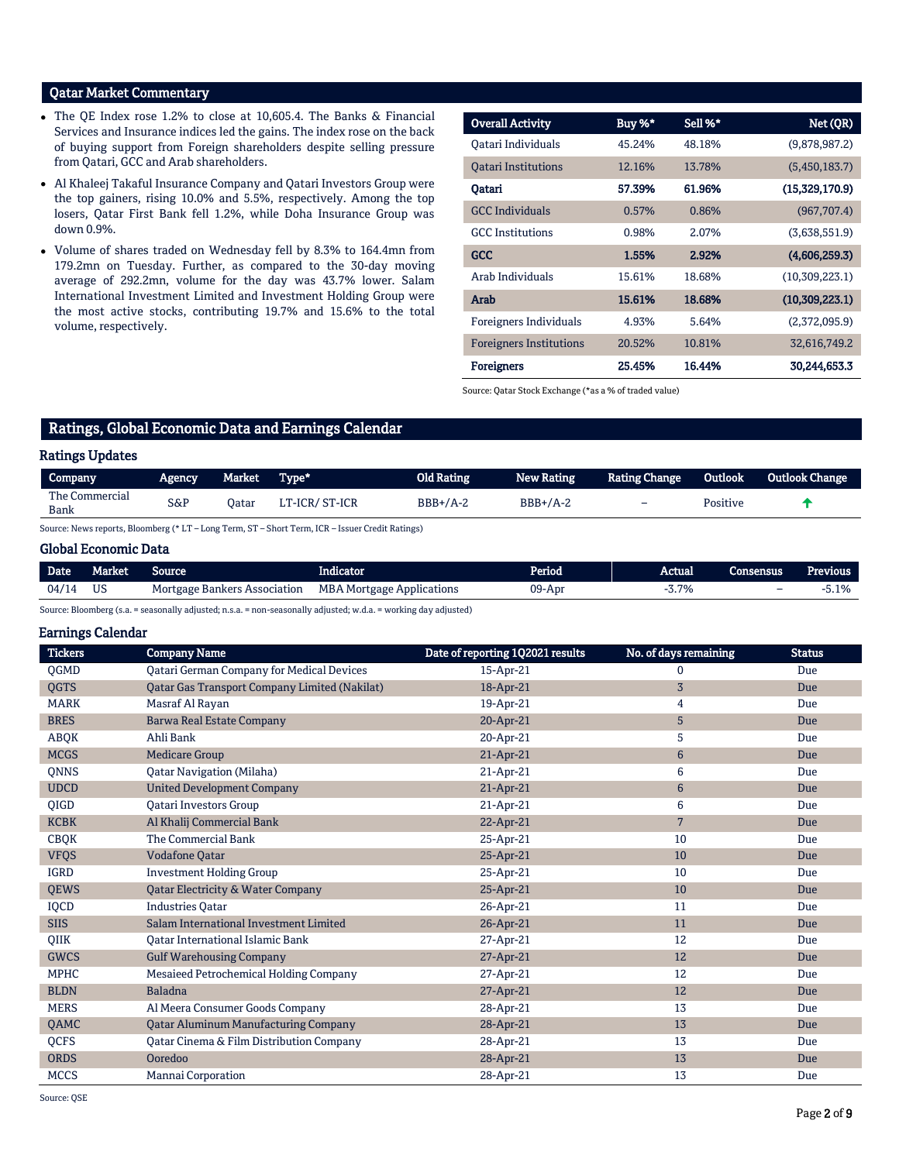### Qatar Market Commentary

- The QE Index rose 1.2% to close at 10,605.4. The Banks & Financial Services and Insurance indices led the gains. The index rose on the back of buying support from Foreign shareholders despite selling pressure from Qatari, GCC and Arab shareholders.
- Al Khaleej Takaful Insurance Company and Qatari Investors Group were the top gainers, rising 10.0% and 5.5%, respectively. Among the top losers, Qatar First Bank fell 1.2%, while Doha Insurance Group was down 0.9%.
- Volume of shares traded on Wednesday fell by 8.3% to 164.4mn from 179.2mn on Tuesday. Further, as compared to the 30-day moving average of 292.2mn, volume for the day was 43.7% lower. Salam International Investment Limited and Investment Holding Group were the most active stocks, contributing 19.7% and 15.6% to the total volume, respectively.

| <b>Overall Activity</b>        | Buy %* | Sell %* | Net (QR)       |
|--------------------------------|--------|---------|----------------|
| Oatari Individuals             | 45.24% | 48.18%  | (9,878,987.2)  |
| <b>Oatari Institutions</b>     | 12.16% | 13.78%  | (5,450,183.7)  |
| Qatari                         | 57.39% | 61.96%  | (15,329,170.9) |
| <b>GCC</b> Individuals         | 0.57%  | 0.86%   | (967,707.4)    |
| <b>GCC</b> Institutions        | 0.98%  | 2.07%   | (3,638,551.9)  |
| <b>GCC</b>                     | 1.55%  | 2.92%   | (4,606,259.3)  |
| Arab Individuals               | 15.61% | 18.68%  | (10,309,223.1) |
| Arab                           | 15.61% | 18.68%  | (10,309,223.1) |
| Foreigners Individuals         | 4.93%  | 5.64%   | (2,372,095.9)  |
| <b>Foreigners Institutions</b> | 20.52% | 10.81%  | 32,616,749.2   |
| <b>Foreigners</b>              | 25.45% | 16.44%  | 30,244,653.3   |

Source: Qatar Stock Exchange (\*as a % of traded value)

# Ratings, Global Economic Data and Earnings Calendar

### Ratings Updates

| Company                | <b>Agency</b>                                                                                                   | <b>Market</b> | Type*                                                                           | Old Rating | <b>New Rating</b> | Rating Change            | Outlook  | Outlook Change |
|------------------------|-----------------------------------------------------------------------------------------------------------------|---------------|---------------------------------------------------------------------------------|------------|-------------------|--------------------------|----------|----------------|
| The Commercial<br>Bank | $S\&P$                                                                                                          | Oatar         | LT-ICR/ ST-ICR                                                                  | $BBB+/A-2$ | $BBB+/A-2$        | $\overline{\phantom{0}}$ | Positive |                |
|                        | the contract of the contract of the contract of the contract of the contract of the contract of the contract of |               | the contract of the contract of the contract of the contract of the contract of |            |                   |                          |          |                |

Source: News reports, Bloomberg (\* LT – Long Term, ST – Short Term, ICR – Issuer Credit Ratings)

#### Global Economic Data

| <b>Date</b> | Market    | Source                       | . .<br>Indicator                 | Period | Actual | Consensus | Previous |
|-------------|-----------|------------------------------|----------------------------------|--------|--------|-----------|----------|
| 04/14       | <b>US</b> | Mortgage Bankers Association | <b>MBA Mortgage Applications</b> | 09-Apr | 3.7%   | -         | ა.1%     |

Source: Bloomberg (s.a. = seasonally adjusted; n.s.a. = non-seasonally adjusted; w.d.a. = working day adjusted)

Earnings Calendar

| <b>Tickers</b> | <b>Company Name</b>                                  | Date of reporting 1Q2021 results | No. of days remaining | <b>Status</b> |
|----------------|------------------------------------------------------|----------------------------------|-----------------------|---------------|
| QGMD           | Qatari German Company for Medical Devices            | 15-Apr-21                        | $\mathbf{0}$          | Due           |
| <b>OGTS</b>    | <b>Qatar Gas Transport Company Limited (Nakilat)</b> | 18-Apr-21                        | $\sqrt{3}$            | Due           |
| <b>MARK</b>    | Masraf Al Rayan                                      | 19-Apr-21                        | 4                     | Due           |
| <b>BRES</b>    | <b>Barwa Real Estate Company</b>                     | 20-Apr-21                        | 5                     | Due           |
| ABQK           | Ahli Bank                                            | 20-Apr-21                        | 5                     | Due           |
| <b>MCGS</b>    | <b>Medicare Group</b>                                | 21-Apr-21                        | $\boldsymbol{6}$      | Due           |
| <b>ONNS</b>    | <b>Qatar Navigation (Milaha)</b>                     | 21-Apr-21                        | 6                     | Due           |
| <b>UDCD</b>    | <b>United Development Company</b>                    | 21-Apr-21                        | $\boldsymbol{6}$      | Due           |
| <b>OIGD</b>    | <b>Oatari Investors Group</b>                        | 21-Apr-21                        | 6                     | Due           |
| <b>KCBK</b>    | Al Khalij Commercial Bank                            | 22-Apr-21                        | $7\overline{ }$       | Due           |
| <b>CBQK</b>    | The Commercial Bank                                  | 25-Apr-21                        | 10                    | Due           |
| <b>VFQS</b>    | Vodafone Qatar                                       | 25-Apr-21                        | 10                    | Due           |
| <b>IGRD</b>    | <b>Investment Holding Group</b>                      | 25-Apr-21                        | 10                    | Due           |
| <b>OEWS</b>    | <b>Oatar Electricity &amp; Water Company</b>         | 25-Apr-21                        | 10                    | Due           |
| <b>IOCD</b>    | <b>Industries Oatar</b>                              | 26-Apr-21                        | 11                    | Due           |
| <b>SIIS</b>    | Salam International Investment Limited               | 26-Apr-21                        | 11                    | Due           |
| <b>OIIK</b>    | <b>Oatar International Islamic Bank</b>              | 27-Apr-21                        | 12                    | Due           |
| <b>GWCS</b>    | <b>Gulf Warehousing Company</b>                      | 27-Apr-21                        | 12                    | Due           |
| <b>MPHC</b>    | Mesaieed Petrochemical Holding Company               | 27-Apr-21                        | 12                    | Due           |
| <b>BLDN</b>    | <b>Baladna</b>                                       | 27-Apr-21                        | 12                    | Due           |
| <b>MERS</b>    | Al Meera Consumer Goods Company                      | 28-Apr-21                        | 13                    | Due           |
| <b>OAMC</b>    | <b>Qatar Aluminum Manufacturing Company</b>          | 28-Apr-21                        | 13                    | Due           |
| <b>OCFS</b>    | Qatar Cinema & Film Distribution Company             | 28-Apr-21                        | 13                    | Due           |
| <b>ORDS</b>    | Ooredoo                                              | 28-Apr-21                        | 13                    | Due           |
| <b>MCCS</b>    | Mannai Corporation                                   | 28-Apr-21                        | 13                    | Due           |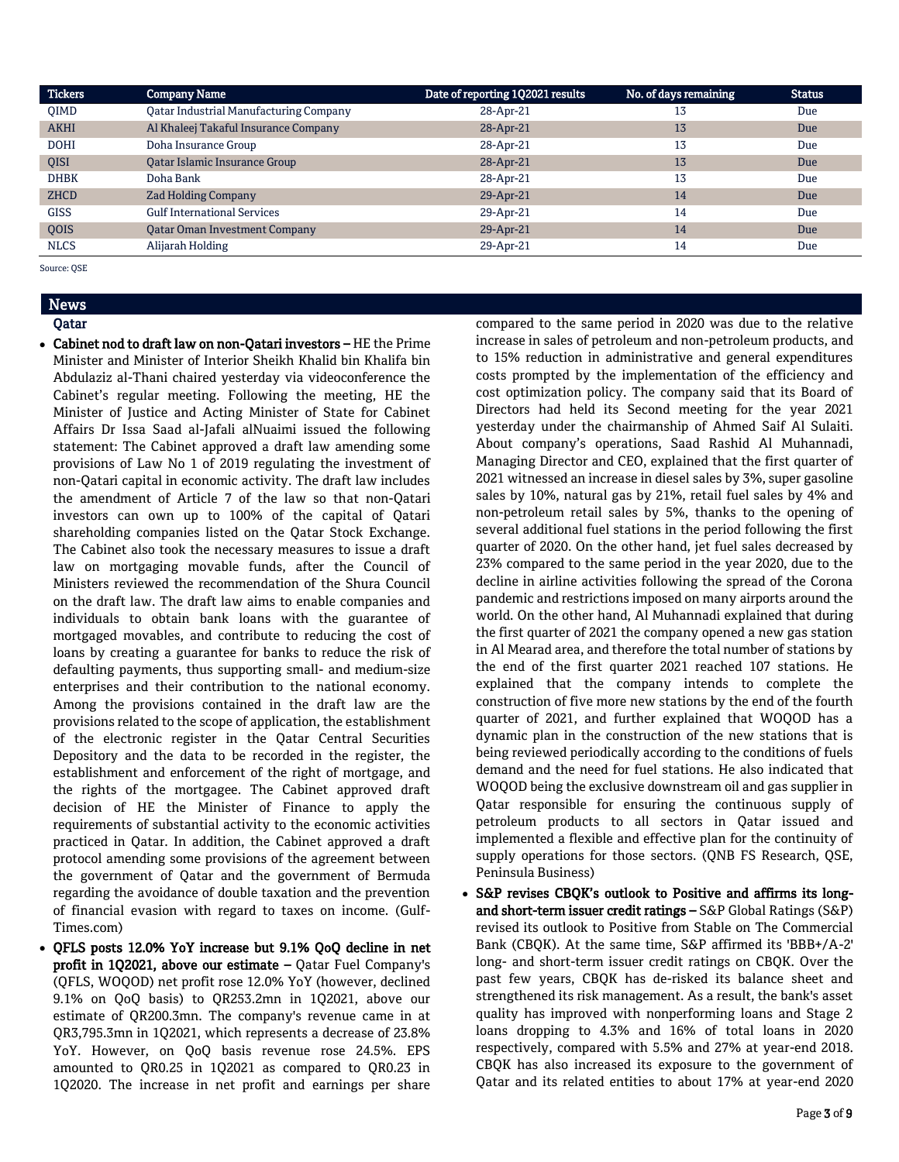| <b>Tickers</b> | <b>Company Name</b>                           | Date of reporting 1Q2021 results | No. of days remaining | <b>Status</b> |
|----------------|-----------------------------------------------|----------------------------------|-----------------------|---------------|
| <b>OIMD</b>    | <b>Qatar Industrial Manufacturing Company</b> | 28-Apr-21                        | 13                    | Due           |
| <b>AKHI</b>    | Al Khaleej Takaful Insurance Company          | 28-Apr-21                        | 13                    | Due           |
| <b>DOHI</b>    | Doha Insurance Group                          | 28-Apr-21                        | 13                    | Due           |
| QISI           | Qatar Islamic Insurance Group                 | $28$ -Apr-21                     | 13                    | Due           |
| <b>DHBK</b>    | Doha Bank                                     | 28-Apr-21                        | 13                    | Due           |
| <b>ZHCD</b>    | <b>Zad Holding Company</b>                    | 29-Apr-21                        | 14                    | Due           |
| <b>GISS</b>    | <b>Gulf International Services</b>            | 29-Apr-21                        | 14                    | Due           |
| <b>OOIS</b>    | <b>Oatar Oman Investment Company</b>          | 29-Apr-21                        | 14                    | <b>Due</b>    |
| <b>NLCS</b>    | Alijarah Holding                              | 29-Apr-21                        | 14                    | Due           |

Source: QSE

#### News Qatar

- Cabinet nod to draft law on non-Qatari investors HE the Prime Minister and Minister of Interior Sheikh Khalid bin Khalifa bin Abdulaziz al-Thani chaired yesterday via videoconference the Cabinet's regular meeting. Following the meeting, HE the Minister of Justice and Acting Minister of State for Cabinet Affairs Dr Issa Saad al-Jafali alNuaimi issued the following statement: The Cabinet approved a draft law amending some provisions of Law No 1 of 2019 regulating the investment of non-Qatari capital in economic activity. The draft law includes the amendment of Article 7 of the law so that non-Qatari investors can own up to 100% of the capital of Qatari shareholding companies listed on the Qatar Stock Exchange. The Cabinet also took the necessary measures to issue a draft law on mortgaging movable funds, after the Council of Ministers reviewed the recommendation of the Shura Council on the draft law. The draft law aims to enable companies and individuals to obtain bank loans with the guarantee of mortgaged movables, and contribute to reducing the cost of loans by creating a guarantee for banks to reduce the risk of defaulting payments, thus supporting small- and medium-size enterprises and their contribution to the national economy. Among the provisions contained in the draft law are the provisions related to the scope of application, the establishment of the electronic register in the Qatar Central Securities Depository and the data to be recorded in the register, the establishment and enforcement of the right of mortgage, and the rights of the mortgagee. The Cabinet approved draft decision of HE the Minister of Finance to apply the requirements of substantial activity to the economic activities practiced in Qatar. In addition, the Cabinet approved a draft protocol amending some provisions of the agreement between the government of Qatar and the government of Bermuda regarding the avoidance of double taxation and the prevention of financial evasion with regard to taxes on income. (Gulf-Times.com)
- QFLS posts 12.0% YoY increase but 9.1% QoQ decline in net profit in 1Q2021, above our estimate – Qatar Fuel Company's (QFLS, WOQOD) net profit rose 12.0% YoY (however, declined 9.1% on QoQ basis) to QR253.2mn in 1Q2021, above our estimate of QR200.3mn. The company's revenue came in at QR3,795.3mn in 1Q2021, which represents a decrease of 23.8% YoY. However, on QoQ basis revenue rose 24.5%. EPS amounted to QR0.25 in 1Q2021 as compared to QR0.23 in 1Q2020. The increase in net profit and earnings per share

compared to the same period in 2020 was due to the relative increase in sales of petroleum and non-petroleum products, and to 15% reduction in administrative and general expenditures costs prompted by the implementation of the efficiency and cost optimization policy. The company said that its Board of Directors had held its Second meeting for the year 2021 yesterday under the chairmanship of Ahmed Saif Al Sulaiti. About company's operations, Saad Rashid Al Muhannadi, Managing Director and CEO, explained that the first quarter of 2021 witnessed an increase in diesel sales by 3%, super gasoline sales by 10%, natural gas by 21%, retail fuel sales by 4% and non-petroleum retail sales by 5%, thanks to the opening of several additional fuel stations in the period following the first quarter of 2020. On the other hand, jet fuel sales decreased by 23% compared to the same period in the year 2020, due to the decline in airline activities following the spread of the Corona pandemic and restrictions imposed on many airports around the world. On the other hand, Al Muhannadi explained that during the first quarter of 2021 the company opened a new gas station in Al Mearad area, and therefore the total number of stations by the end of the first quarter 2021 reached 107 stations. He explained that the company intends to complete the construction of five more new stations by the end of the fourth quarter of 2021, and further explained that WOQOD has a dynamic plan in the construction of the new stations that is being reviewed periodically according to the conditions of fuels demand and the need for fuel stations. He also indicated that WOQOD being the exclusive downstream oil and gas supplier in Qatar responsible for ensuring the continuous supply of petroleum products to all sectors in Qatar issued and implemented a flexible and effective plan for the continuity of supply operations for those sectors. (QNB FS Research, QSE, Peninsula Business)

 S&P revises CBQK's outlook to Positive and affirms its longand short-term issuer credit ratings – S&P Global Ratings (S&P) revised its outlook to Positive from Stable on The Commercial Bank (CBQK). At the same time, S&P affirmed its 'BBB+/A-2' long- and short-term issuer credit ratings on CBQK. Over the past few years, CBQK has de-risked its balance sheet and strengthened its risk management. As a result, the bank's asset quality has improved with nonperforming loans and Stage 2 loans dropping to 4.3% and 16% of total loans in 2020 respectively, compared with 5.5% and 27% at year-end 2018. CBQK has also increased its exposure to the government of Qatar and its related entities to about 17% at year-end 2020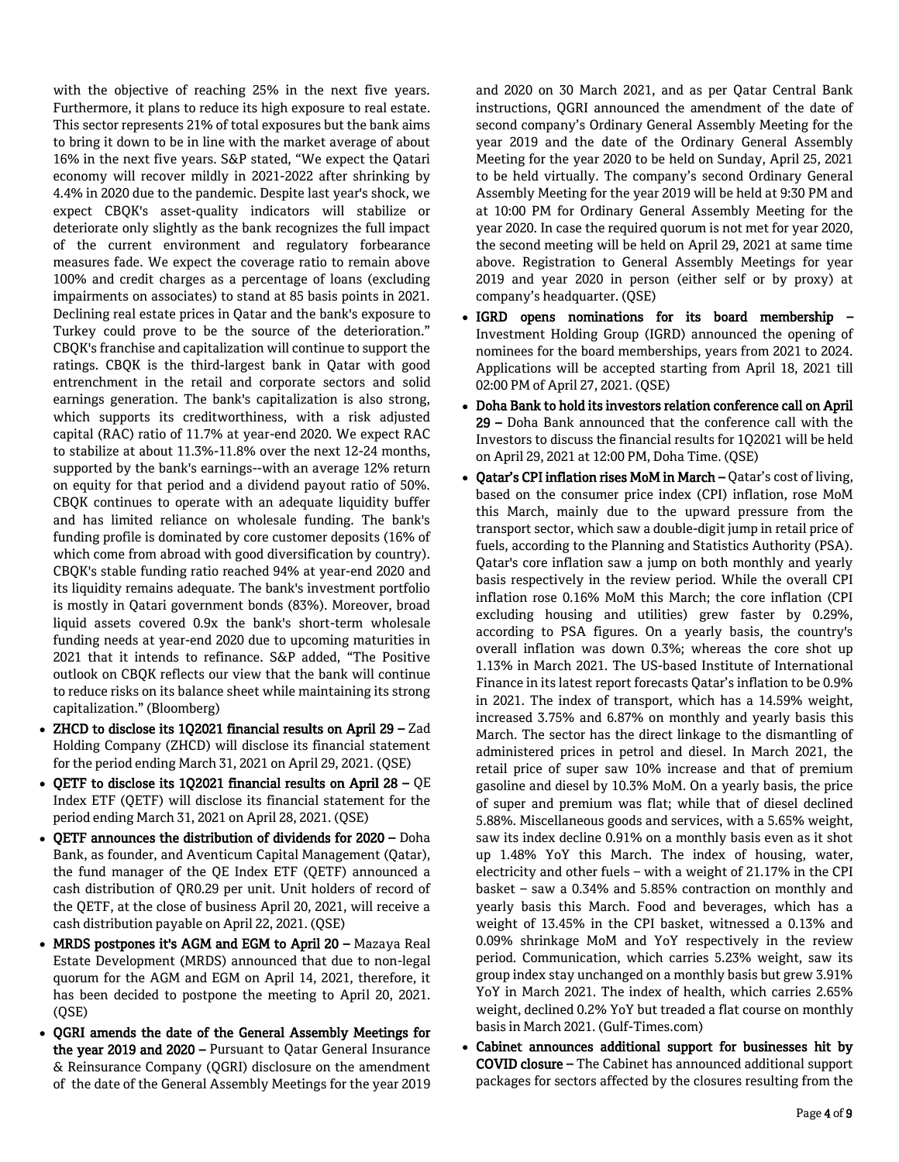with the objective of reaching 25% in the next five years. Furthermore, it plans to reduce its high exposure to real estate. This sector represents 21% of total exposures but the bank aims to bring it down to be in line with the market average of about 16% in the next five years. S&P stated, "We expect the Qatari economy will recover mildly in 2021-2022 after shrinking by 4.4% in 2020 due to the pandemic. Despite last year's shock, we expect CBQK's asset-quality indicators will stabilize or deteriorate only slightly as the bank recognizes the full impact of the current environment and regulatory forbearance measures fade. We expect the coverage ratio to remain above 100% and credit charges as a percentage of loans (excluding impairments on associates) to stand at 85 basis points in 2021. Declining real estate prices in Qatar and the bank's exposure to Turkey could prove to be the source of the deterioration." CBQK's franchise and capitalization will continue to support the ratings. CBQK is the third-largest bank in Qatar with good entrenchment in the retail and corporate sectors and solid earnings generation. The bank's capitalization is also strong, which supports its creditworthiness, with a risk adjusted capital (RAC) ratio of 11.7% at year-end 2020. We expect RAC to stabilize at about 11.3%-11.8% over the next 12-24 months, supported by the bank's earnings--with an average 12% return on equity for that period and a dividend payout ratio of 50%. CBQK continues to operate with an adequate liquidity buffer and has limited reliance on wholesale funding. The bank's funding profile is dominated by core customer deposits (16% of which come from abroad with good diversification by country). CBQK's stable funding ratio reached 94% at year-end 2020 and its liquidity remains adequate. The bank's investment portfolio is mostly in Qatari government bonds (83%). Moreover, broad liquid assets covered 0.9x the bank's short-term wholesale funding needs at year-end 2020 due to upcoming maturities in 2021 that it intends to refinance. S&P added, "The Positive outlook on CBQK reflects our view that the bank will continue to reduce risks on its balance sheet while maintaining its strong capitalization." (Bloomberg)

- ZHCD to disclose its 1Q2021 financial results on April 29 Zad Holding Company (ZHCD) will disclose its financial statement for the period ending March 31, 2021 on April 29, 2021. (QSE)
- QETF to disclose its 1Q2021 financial results on April 28 QE Index ETF (QETF) will disclose its financial statement for the period ending March 31, 2021 on April 28, 2021. (QSE)
- QETF announces the distribution of dividends for 2020 Doha Bank, as founder, and Aventicum Capital Management (Qatar), the fund manager of the QE Index ETF (QETF) announced a cash distribution of QR0.29 per unit. Unit holders of record of the QETF, at the close of business April 20, 2021, will receive a cash distribution payable on April 22, 2021. (QSE)
- MRDS postpones it's AGM and EGM to April 20 Mazaya Real Estate Development (MRDS) announced that due to non-legal quorum for the AGM and EGM on April 14, 2021, therefore, it has been decided to postpone the meeting to April 20, 2021. (QSE)
- QGRI amends the date of the General Assembly Meetings for the year 2019 and 2020 – Pursuant to Qatar General Insurance & Reinsurance Company (QGRI) disclosure on the amendment of the date of the General Assembly Meetings for the year 2019

and 2020 on 30 March 2021, and as per Qatar Central Bank instructions, QGRI announced the amendment of the date of second company's Ordinary General Assembly Meeting for the year 2019 and the date of the Ordinary General Assembly Meeting for the year 2020 to be held on Sunday, April 25, 2021 to be held virtually. The company's second Ordinary General Assembly Meeting for the year 2019 will be held at 9:30 PM and at 10:00 PM for Ordinary General Assembly Meeting for the year 2020. In case the required quorum is not met for year 2020, the second meeting will be held on April 29, 2021 at same time above. Registration to General Assembly Meetings for year 2019 and year 2020 in person (either self or by proxy) at company's headquarter. (QSE)

- IGRD opens nominations for its board membership Investment Holding Group (IGRD) announced the opening of nominees for the board memberships, years from 2021 to 2024. Applications will be accepted starting from April 18, 2021 till 02:00 PM of April 27, 2021. (QSE)
- Doha Bank to hold its investors relation conference call on April 29 – Doha Bank announced that the conference call with the Investors to discuss the financial results for 1Q2021 will be held on April 29, 2021 at 12:00 PM, Doha Time. (QSE)
- Qatar's CPI inflation rises MoM in March Qatar's cost of living, based on the consumer price index (CPI) inflation, rose MoM this March, mainly due to the upward pressure from the transport sector, which saw a double-digit jump in retail price of fuels, according to the Planning and Statistics Authority (PSA). Qatar's core inflation saw a jump on both monthly and yearly basis respectively in the review period. While the overall CPI inflation rose 0.16% MoM this March; the core inflation (CPI excluding housing and utilities) grew faster by 0.29%, according to PSA figures. On a yearly basis, the country's overall inflation was down 0.3%; whereas the core shot up 1.13% in March 2021. The US-based Institute of International Finance in its latest report forecasts Qatar's inflation to be 0.9% in 2021. The index of transport, which has a 14.59% weight, increased 3.75% and 6.87% on monthly and yearly basis this March. The sector has the direct linkage to the dismantling of administered prices in petrol and diesel. In March 2021, the retail price of super saw 10% increase and that of premium gasoline and diesel by 10.3% MoM. On a yearly basis, the price of super and premium was flat; while that of diesel declined 5.88%. Miscellaneous goods and services, with a 5.65% weight, saw its index decline 0.91% on a monthly basis even as it shot up 1.48% YoY this March. The index of housing, water, electricity and other fuels – with a weight of 21.17% in the CPI basket – saw a 0.34% and 5.85% contraction on monthly and yearly basis this March. Food and beverages, which has a weight of 13.45% in the CPI basket, witnessed a 0.13% and 0.09% shrinkage MoM and YoY respectively in the review period. Communication, which carries 5.23% weight, saw its group index stay unchanged on a monthly basis but grew 3.91% YoY in March 2021. The index of health, which carries 2.65% weight, declined 0.2% YoY but treaded a flat course on monthly basis in March 2021. (Gulf-Times.com)
- Cabinet announces additional support for businesses hit by COVID closure – The Cabinet has announced additional support packages for sectors affected by the closures resulting from the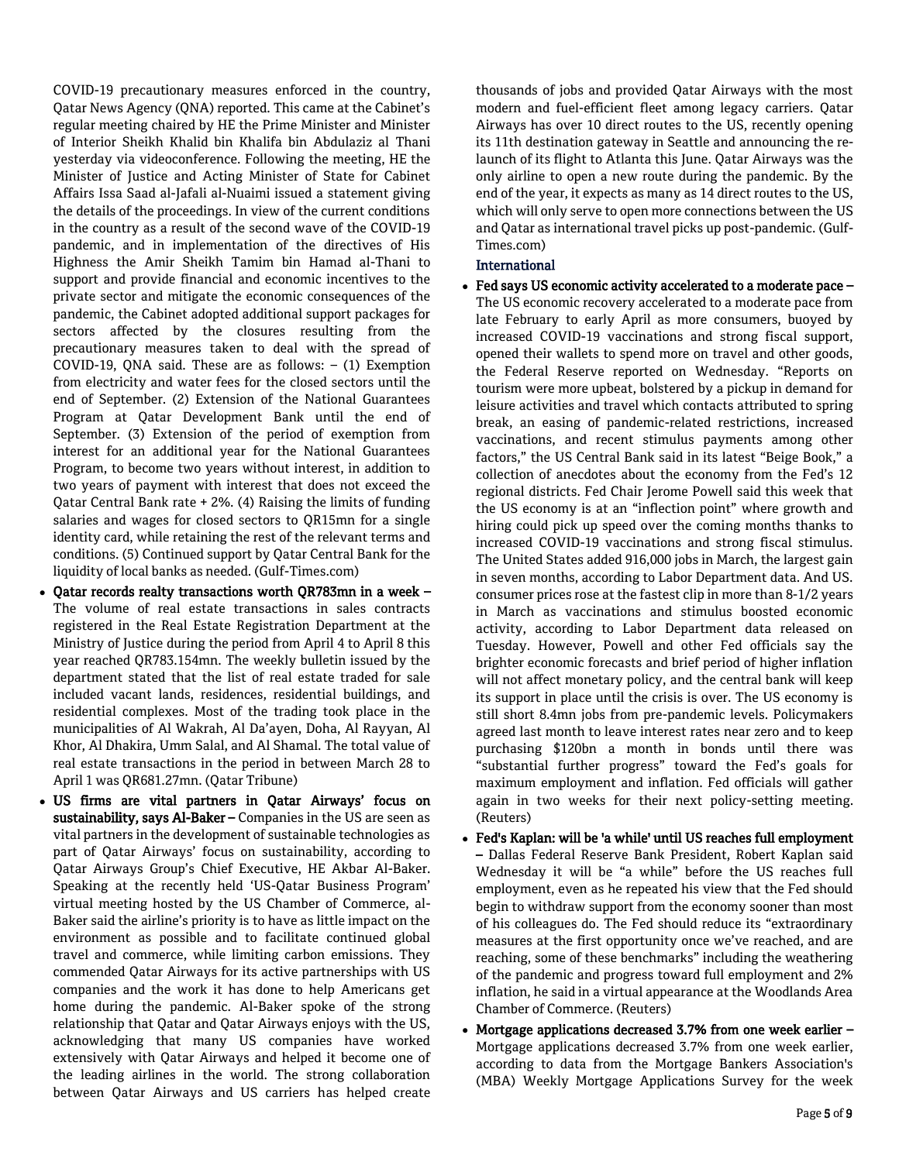COVID-19 precautionary measures enforced in the country, Qatar News Agency (QNA) reported. This came at the Cabinet's regular meeting chaired by HE the Prime Minister and Minister of Interior Sheikh Khalid bin Khalifa bin Abdulaziz al Thani yesterday via videoconference. Following the meeting, HE the Minister of Justice and Acting Minister of State for Cabinet Affairs Issa Saad al-Jafali al-Nuaimi issued a statement giving the details of the proceedings. In view of the current conditions in the country as a result of the second wave of the COVID-19 pandemic, and in implementation of the directives of His Highness the Amir Sheikh Tamim bin Hamad al-Thani to support and provide financial and economic incentives to the private sector and mitigate the economic consequences of the pandemic, the Cabinet adopted additional support packages for sectors affected by the closures resulting from the precautionary measures taken to deal with the spread of COVID-19, QNA said. These are as follows:  $-$  (1) Exemption from electricity and water fees for the closed sectors until the end of September. (2) Extension of the National Guarantees Program at Qatar Development Bank until the end of September. (3) Extension of the period of exemption from interest for an additional year for the National Guarantees Program, to become two years without interest, in addition to two years of payment with interest that does not exceed the Qatar Central Bank rate + 2%. (4) Raising the limits of funding salaries and wages for closed sectors to QR15mn for a single identity card, while retaining the rest of the relevant terms and conditions. (5) Continued support by Qatar Central Bank for the liquidity of local banks as needed. (Gulf-Times.com)

- Qatar records realty transactions worth QR783mn in a week The volume of real estate transactions in sales contracts registered in the Real Estate Registration Department at the Ministry of Justice during the period from April 4 to April 8 this year reached QR783.154mn. The weekly bulletin issued by the department stated that the list of real estate traded for sale included vacant lands, residences, residential buildings, and residential complexes. Most of the trading took place in the municipalities of Al Wakrah, Al Da'ayen, Doha, Al Rayyan, Al Khor, Al Dhakira, Umm Salal, and Al Shamal. The total value of real estate transactions in the period in between March 28 to April 1 was QR681.27mn. (Qatar Tribune)
- US firms are vital partners in Qatar Airways' focus on sustainability, says Al-Baker – Companies in the US are seen as vital partners in the development of sustainable technologies as part of Qatar Airways' focus on sustainability, according to Qatar Airways Group's Chief Executive, HE Akbar Al-Baker. Speaking at the recently held 'US-Qatar Business Program' virtual meeting hosted by the US Chamber of Commerce, al-Baker said the airline's priority is to have as little impact on the environment as possible and to facilitate continued global travel and commerce, while limiting carbon emissions. They commended Qatar Airways for its active partnerships with US companies and the work it has done to help Americans get home during the pandemic. Al-Baker spoke of the strong relationship that Qatar and Qatar Airways enjoys with the US, acknowledging that many US companies have worked extensively with Qatar Airways and helped it become one of the leading airlines in the world. The strong collaboration between Qatar Airways and US carriers has helped create

thousands of jobs and provided Qatar Airways with the most modern and fuel-efficient fleet among legacy carriers. Qatar Airways has over 10 direct routes to the US, recently opening its 11th destination gateway in Seattle and announcing the relaunch of its flight to Atlanta this June. Qatar Airways was the only airline to open a new route during the pandemic. By the end of the year, it expects as many as 14 direct routes to the US, which will only serve to open more connections between the US and Qatar as international travel picks up post-pandemic. (Gulf-Times.com)

# International

- Fed says US economic activity accelerated to a moderate pace The US economic recovery accelerated to a moderate pace from late February to early April as more consumers, buoyed by increased COVID-19 vaccinations and strong fiscal support, opened their wallets to spend more on travel and other goods, the Federal Reserve reported on Wednesday. "Reports on tourism were more upbeat, bolstered by a pickup in demand for leisure activities and travel which contacts attributed to spring break, an easing of pandemic-related restrictions, increased vaccinations, and recent stimulus payments among other factors," the US Central Bank said in its latest "Beige Book," a collection of anecdotes about the economy from the Fed's 12 regional districts. Fed Chair Jerome Powell said this week that the US economy is at an "inflection point" where growth and hiring could pick up speed over the coming months thanks to increased COVID-19 vaccinations and strong fiscal stimulus. The United States added 916,000 jobs in March, the largest gain in seven months, according to Labor Department data. And US. consumer prices rose at the fastest clip in more than 8-1/2 years in March as vaccinations and stimulus boosted economic activity, according to Labor Department data released on Tuesday. However, Powell and other Fed officials say the brighter economic forecasts and brief period of higher inflation will not affect monetary policy, and the central bank will keep its support in place until the crisis is over. The US economy is still short 8.4mn jobs from pre-pandemic levels. Policymakers agreed last month to leave interest rates near zero and to keep purchasing \$120bn a month in bonds until there was "substantial further progress" toward the Fed's goals for maximum employment and inflation. Fed officials will gather again in two weeks for their next policy-setting meeting. (Reuters)
- Fed's Kaplan: will be 'a while' until US reaches full employment – Dallas Federal Reserve Bank President, Robert Kaplan said Wednesday it will be "a while" before the US reaches full employment, even as he repeated his view that the Fed should begin to withdraw support from the economy sooner than most of his colleagues do. The Fed should reduce its "extraordinary measures at the first opportunity once we've reached, and are reaching, some of these benchmarks" including the weathering of the pandemic and progress toward full employment and 2% inflation, he said in a virtual appearance at the Woodlands Area Chamber of Commerce. (Reuters)
- Mortgage applications decreased 3.7% from one week earlier Mortgage applications decreased 3.7% from one week earlier, according to data from the Mortgage Bankers Association's (MBA) Weekly Mortgage Applications Survey for the week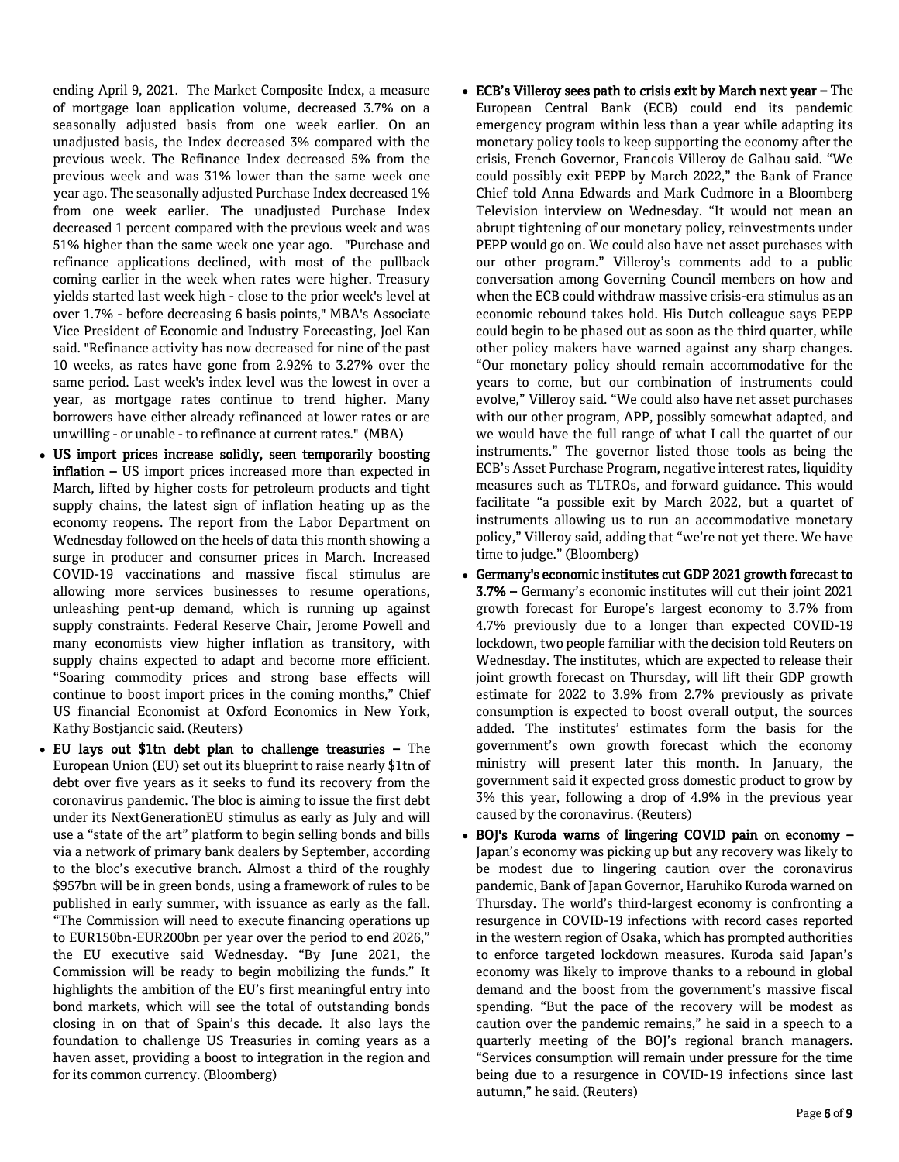ending April 9, 2021. The Market Composite Index, a measure of mortgage loan application volume, decreased 3.7% on a seasonally adjusted basis from one week earlier. On an unadjusted basis, the Index decreased 3% compared with the previous week. The Refinance Index decreased 5% from the previous week and was 31% lower than the same week one year ago. The seasonally adjusted Purchase Index decreased 1% from one week earlier. The unadjusted Purchase Index decreased 1 percent compared with the previous week and was 51% higher than the same week one year ago. "Purchase and refinance applications declined, with most of the pullback coming earlier in the week when rates were higher. Treasury yields started last week high - close to the prior week's level at over 1.7% - before decreasing 6 basis points," MBA's Associate Vice President of Economic and Industry Forecasting, Joel Kan said. "Refinance activity has now decreased for nine of the past 10 weeks, as rates have gone from 2.92% to 3.27% over the same period. Last week's index level was the lowest in over a year, as mortgage rates continue to trend higher. Many borrowers have either already refinanced at lower rates or are unwilling - or unable - to refinance at current rates." (MBA)

- US import prices increase solidly, seen temporarily boosting inflation – US import prices increased more than expected in March, lifted by higher costs for petroleum products and tight supply chains, the latest sign of inflation heating up as the economy reopens. The report from the Labor Department on Wednesday followed on the heels of data this month showing a surge in producer and consumer prices in March. Increased COVID-19 vaccinations and massive fiscal stimulus are allowing more services businesses to resume operations, unleashing pent-up demand, which is running up against supply constraints. Federal Reserve Chair, Jerome Powell and many economists view higher inflation as transitory, with supply chains expected to adapt and become more efficient. "Soaring commodity prices and strong base effects will continue to boost import prices in the coming months," Chief US financial Economist at Oxford Economics in New York, Kathy Bostjancic said. (Reuters)
- EU lays out \$1tn debt plan to challenge treasuries The European Union (EU) set out its blueprint to raise nearly \$1tn of debt over five years as it seeks to fund its recovery from the coronavirus pandemic. The bloc is aiming to issue the first debt under its NextGenerationEU stimulus as early as July and will use a "state of the art" platform to begin selling bonds and bills via a network of primary bank dealers by September, according to the bloc's executive branch. Almost a third of the roughly \$957bn will be in green bonds, using a framework of rules to be published in early summer, with issuance as early as the fall. "The Commission will need to execute financing operations up to EUR150bn-EUR200bn per year over the period to end 2026," the EU executive said Wednesday. "By June 2021, the Commission will be ready to begin mobilizing the funds." It highlights the ambition of the EU's first meaningful entry into bond markets, which will see the total of outstanding bonds closing in on that of Spain's this decade. It also lays the foundation to challenge US Treasuries in coming years as a haven asset, providing a boost to integration in the region and for its common currency. (Bloomberg)
- ECB's Villeroy sees path to crisis exit by March next year The European Central Bank (ECB) could end its pandemic emergency program within less than a year while adapting its monetary policy tools to keep supporting the economy after the crisis, French Governor, Francois Villeroy de Galhau said. "We could possibly exit PEPP by March 2022," the Bank of France Chief told Anna Edwards and Mark Cudmore in a Bloomberg Television interview on Wednesday. "It would not mean an abrupt tightening of our monetary policy, reinvestments under PEPP would go on. We could also have net asset purchases with our other program." Villeroy's comments add to a public conversation among Governing Council members on how and when the ECB could withdraw massive crisis-era stimulus as an economic rebound takes hold. His Dutch colleague says PEPP could begin to be phased out as soon as the third quarter, while other policy makers have warned against any sharp changes. "Our monetary policy should remain accommodative for the years to come, but our combination of instruments could evolve," Villeroy said. "We could also have net asset purchases with our other program, APP, possibly somewhat adapted, and we would have the full range of what I call the quartet of our instruments." The governor listed those tools as being the ECB's Asset Purchase Program, negative interest rates, liquidity measures such as TLTROs, and forward guidance. This would facilitate "a possible exit by March 2022, but a quartet of instruments allowing us to run an accommodative monetary policy," Villeroy said, adding that "we're not yet there. We have time to judge." (Bloomberg)
- Germany's economic institutes cut GDP 2021 growth forecast to 3.7% – Germany's economic institutes will cut their joint 2021 growth forecast for Europe's largest economy to 3.7% from 4.7% previously due to a longer than expected COVID-19 lockdown, two people familiar with the decision told Reuters on Wednesday. The institutes, which are expected to release their joint growth forecast on Thursday, will lift their GDP growth estimate for 2022 to 3.9% from 2.7% previously as private consumption is expected to boost overall output, the sources added. The institutes' estimates form the basis for the government's own growth forecast which the economy ministry will present later this month. In January, the government said it expected gross domestic product to grow by 3% this year, following a drop of 4.9% in the previous year caused by the coronavirus. (Reuters)
- BOJ's Kuroda warns of lingering COVID pain on economy -Japan's economy was picking up but any recovery was likely to be modest due to lingering caution over the coronavirus pandemic, Bank of Japan Governor, Haruhiko Kuroda warned on Thursday. The world's third-largest economy is confronting a resurgence in COVID-19 infections with record cases reported in the western region of Osaka, which has prompted authorities to enforce targeted lockdown measures. Kuroda said Japan's economy was likely to improve thanks to a rebound in global demand and the boost from the government's massive fiscal spending. "But the pace of the recovery will be modest as caution over the pandemic remains," he said in a speech to a quarterly meeting of the BOJ's regional branch managers. "Services consumption will remain under pressure for the time being due to a resurgence in COVID-19 infections since last autumn," he said. (Reuters)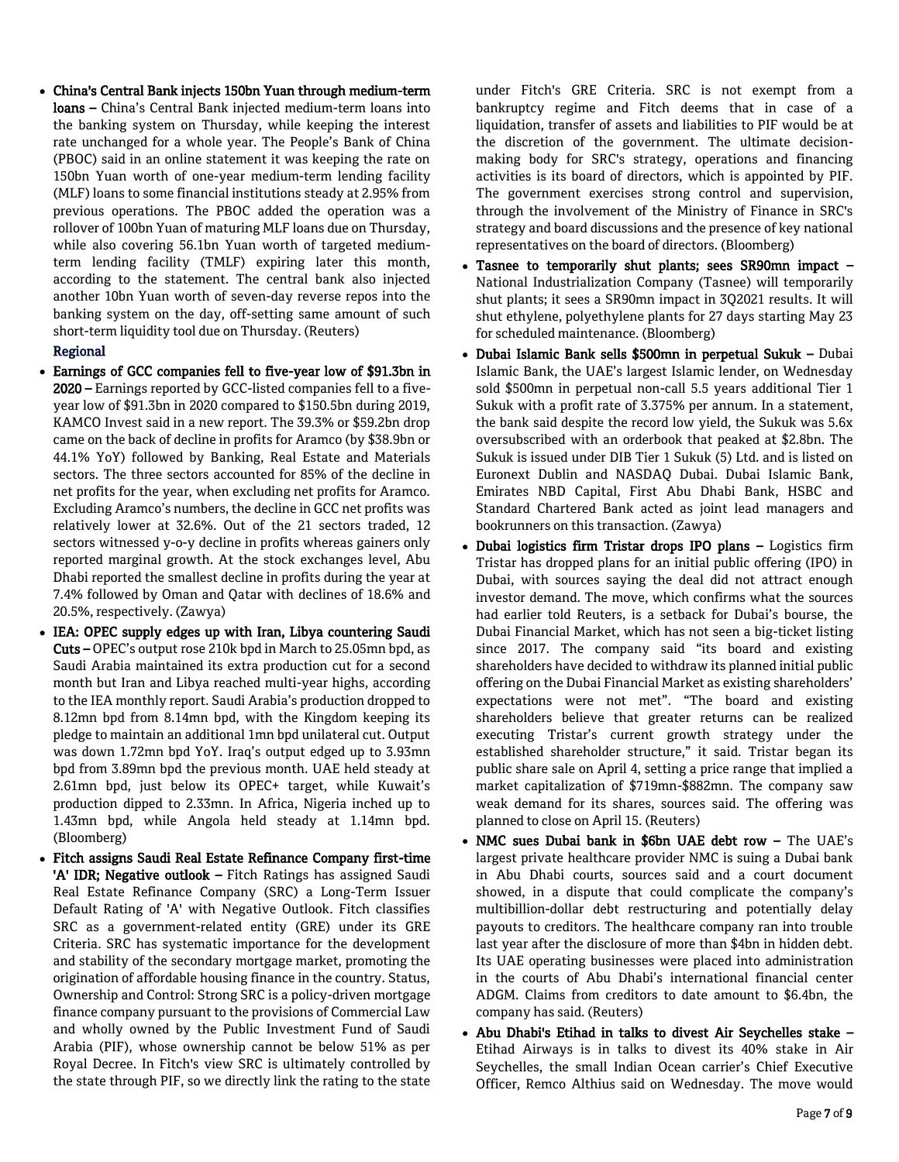China's Central Bank injects 150bn Yuan through medium-term loans – China's Central Bank injected medium-term loans into the banking system on Thursday, while keeping the interest rate unchanged for a whole year. The People's Bank of China (PBOC) said in an online statement it was keeping the rate on 150bn Yuan worth of one-year medium-term lending facility (MLF) loans to some financial institutions steady at 2.95% from previous operations. The PBOC added the operation was a rollover of 100bn Yuan of maturing MLF loans due on Thursday, while also covering 56.1bn Yuan worth of targeted mediumterm lending facility (TMLF) expiring later this month, according to the statement. The central bank also injected another 10bn Yuan worth of seven-day reverse repos into the banking system on the day, off-setting same amount of such short-term liquidity tool due on Thursday. (Reuters)

#### Regional

- Earnings of GCC companies fell to five-year low of \$91.3bn in 2020 – Earnings reported by GCC-listed companies fell to a fiveyear low of \$91.3bn in 2020 compared to \$150.5bn during 2019, KAMCO Invest said in a new report. The 39.3% or \$59.2bn drop came on the back of decline in profits for Aramco (by \$38.9bn or 44.1% YoY) followed by Banking, Real Estate and Materials sectors. The three sectors accounted for 85% of the decline in net profits for the year, when excluding net profits for Aramco. Excluding Aramco's numbers, the decline in GCC net profits was relatively lower at 32.6%. Out of the 21 sectors traded, 12 sectors witnessed y-o-y decline in profits whereas gainers only reported marginal growth. At the stock exchanges level, Abu Dhabi reported the smallest decline in profits during the year at 7.4% followed by Oman and Qatar with declines of 18.6% and 20.5%, respectively. (Zawya)
- IEA: OPEC supply edges up with Iran, Libya countering Saudi Cuts – OPEC's output rose 210k bpd in March to 25.05mn bpd, as Saudi Arabia maintained its extra production cut for a second month but Iran and Libya reached multi-year highs, according to the IEA monthly report. Saudi Arabia's production dropped to 8.12mn bpd from 8.14mn bpd, with the Kingdom keeping its pledge to maintain an additional 1mn bpd unilateral cut. Output was down 1.72mn bpd YoY. Iraq's output edged up to 3.93mn bpd from 3.89mn bpd the previous month. UAE held steady at 2.61mn bpd, just below its OPEC+ target, while Kuwait's production dipped to 2.33mn. In Africa, Nigeria inched up to 1.43mn bpd, while Angola held steady at 1.14mn bpd. (Bloomberg)
- Fitch assigns Saudi Real Estate Refinance Company first-time 'A' IDR; Negative outlook - Fitch Ratings has assigned Saudi Real Estate Refinance Company (SRC) a Long-Term Issuer Default Rating of 'A' with Negative Outlook. Fitch classifies SRC as a government-related entity (GRE) under its GRE Criteria. SRC has systematic importance for the development and stability of the secondary mortgage market, promoting the origination of affordable housing finance in the country. Status, Ownership and Control: Strong SRC is a policy-driven mortgage finance company pursuant to the provisions of Commercial Law and wholly owned by the Public Investment Fund of Saudi Arabia (PIF), whose ownership cannot be below 51% as per Royal Decree. In Fitch's view SRC is ultimately controlled by the state through PIF, so we directly link the rating to the state

under Fitch's GRE Criteria. SRC is not exempt from a bankruptcy regime and Fitch deems that in case of a liquidation, transfer of assets and liabilities to PIF would be at the discretion of the government. The ultimate decisionmaking body for SRC's strategy, operations and financing activities is its board of directors, which is appointed by PIF. The government exercises strong control and supervision, through the involvement of the Ministry of Finance in SRC's strategy and board discussions and the presence of key national representatives on the board of directors. (Bloomberg)

- Tasnee to temporarily shut plants; sees SR90mn impact National Industrialization Company (Tasnee) will temporarily shut plants; it sees a SR90mn impact in 3Q2021 results. It will shut ethylene, polyethylene plants for 27 days starting May 23 for scheduled maintenance. (Bloomberg)
- Dubai Islamic Bank sells \$500mn in perpetual Sukuk Dubai Islamic Bank, the UAE's largest Islamic lender, on Wednesday sold \$500mn in perpetual non-call 5.5 years additional Tier 1 Sukuk with a profit rate of 3.375% per annum. In a statement, the bank said despite the record low yield, the Sukuk was 5.6x oversubscribed with an orderbook that peaked at \$2.8bn. The Sukuk is issued under DIB Tier 1 Sukuk (5) Ltd. and is listed on Euronext Dublin and NASDAQ Dubai. Dubai Islamic Bank, Emirates NBD Capital, First Abu Dhabi Bank, HSBC and Standard Chartered Bank acted as joint lead managers and bookrunners on this transaction. (Zawya)
- Dubai logistics firm Tristar drops IPO plans Logistics firm Tristar has dropped plans for an initial public offering (IPO) in Dubai, with sources saying the deal did not attract enough investor demand. The move, which confirms what the sources had earlier told Reuters, is a setback for Dubai's bourse, the Dubai Financial Market, which has not seen a big-ticket listing since 2017. The company said "its board and existing shareholders have decided to withdraw its planned initial public offering on the Dubai Financial Market as existing shareholders' expectations were not met". "The board and existing shareholders believe that greater returns can be realized executing Tristar's current growth strategy under the established shareholder structure," it said. Tristar began its public share sale on April 4, setting a price range that implied a market capitalization of \$719mn-\$882mn. The company saw weak demand for its shares, sources said. The offering was planned to close on April 15. (Reuters)
- NMC sues Dubai bank in \$6bn UAE debt row The UAE's largest private healthcare provider NMC is suing a Dubai bank in Abu Dhabi courts, sources said and a court document showed, in a dispute that could complicate the company's multibillion-dollar debt restructuring and potentially delay payouts to creditors. The healthcare company ran into trouble last year after the disclosure of more than \$4bn in hidden debt. Its UAE operating businesses were placed into administration in the courts of Abu Dhabi's international financial center ADGM. Claims from creditors to date amount to \$6.4bn, the company has said. (Reuters)
- Abu Dhabi's Etihad in talks to divest Air Seychelles stake Etihad Airways is in talks to divest its 40% stake in Air Seychelles, the small Indian Ocean carrier's Chief Executive Officer, Remco Althius said on Wednesday. The move would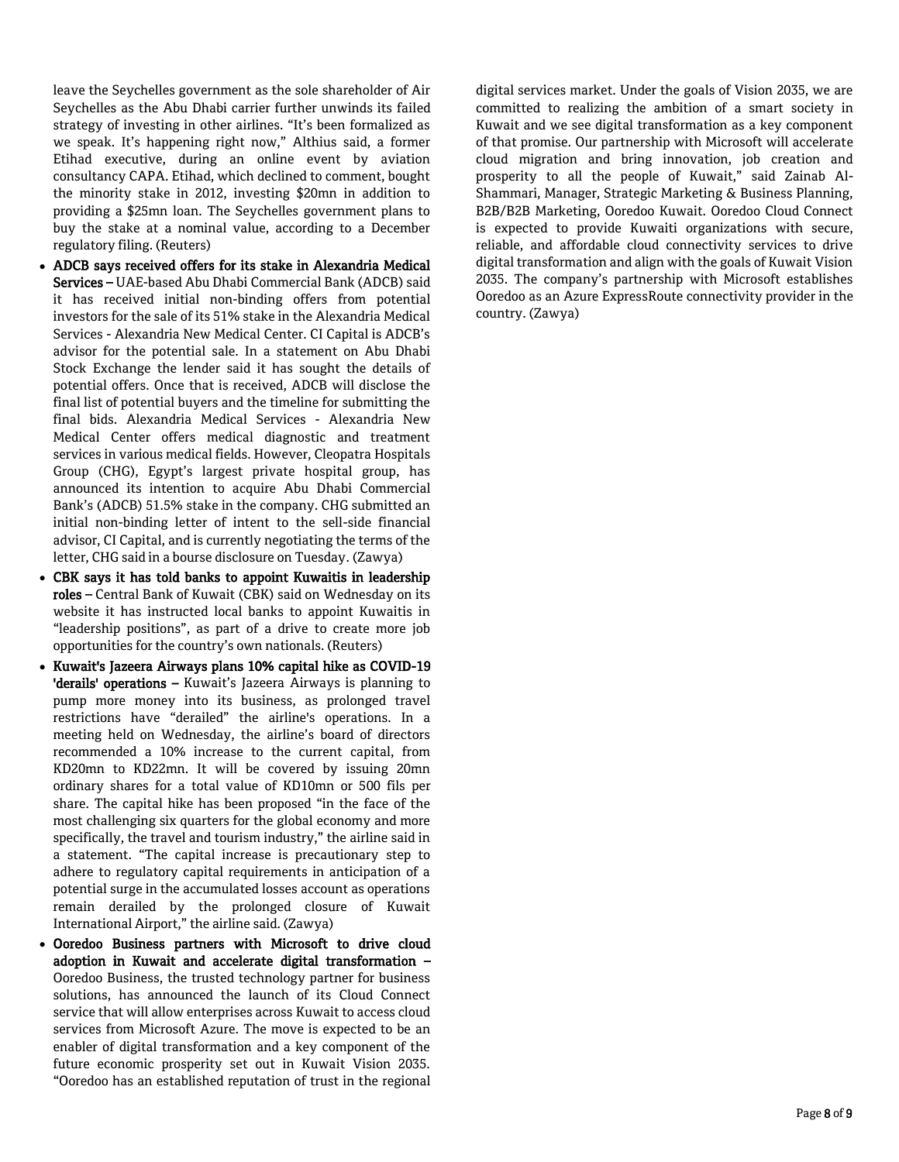leave the Seychelles government as the sole shareholder of Air Seychelles as the Abu Dhabi carrier further unwinds its failed strategy of investing in other airlines. "It's been formalized as we speak. It's happening right now," Althius said, a former Etihad executive, during an online event by aviation consultancy CAPA. Etihad, which declined to comment, bought the minority stake in 2012, investing \$20mn in addition to providing a \$25mn loan. The Seychelles government plans to buy the stake at a nominal value, according to a December regulatory filing. (Reuters)

- ADCB says received offers for its stake in Alexandria Medical Services – UAE-based Abu Dhabi Commercial Bank (ADCB) said it has received initial non-binding offers from potential investors for the sale of its 51% stake in the Alexandria Medical Services - Alexandria New Medical Center. CI Capital is ADCB's advisor for the potential sale. In a statement on Abu Dhabi Stock Exchange the lender said it has sought the details of potential offers. Once that is received, ADCB will disclose the final list of potential buyers and the timeline for submitting the final bids. Alexandria Medical Services - Alexandria New Medical Center offers medical diagnostic and treatment services in various medical fields. However, Cleopatra Hospitals Group (CHG), Egypt's largest private hospital group, has announced its intention to acquire Abu Dhabi Commercial Bank's (ADCB) 51.5% stake in the company. CHG submitted an initial non-binding letter of intent to the sell-side financial advisor, CI Capital, and is currently negotiating the terms of the letter, CHG said in a bourse disclosure on Tuesday. (Zawya)
- CBK says it has told banks to appoint Kuwaitis in leadership roles – Central Bank of Kuwait (CBK) said on Wednesday on its website it has instructed local banks to appoint Kuwaitis in "leadership positions", as part of a drive to create more job opportunities for the country's own nationals. (Reuters)
- Kuwait's Jazeera Airways plans 10% capital hike as COVID-19 'derails' operations - Kuwait's Jazeera Airways is planning to pump more money into its business, as prolonged travel restrictions have "derailed" the airline's operations. In a meeting held on Wednesday, the airline's board of directors recommended a 10% increase to the current capital, from KD20mn to KD22mn. It will be covered by issuing 20mn ordinary shares for a total value of KD10mn or 500 fils per share. The capital hike has been proposed "in the face of the most challenging six quarters for the global economy and more specifically, the travel and tourism industry," the airline said in a statement. "The capital increase is precautionary step to adhere to regulatory capital requirements in anticipation of a potential surge in the accumulated losses account as operations remain derailed by the prolonged closure of Kuwait International Airport," the airline said. (Zawya)
- Ooredoo Business partners with Microsoft to drive cloud adoption in Kuwait and accelerate digital transformation – Ooredoo Business, the trusted technology partner for business solutions, has announced the launch of its Cloud Connect service that will allow enterprises across Kuwait to access cloud services from Microsoft Azure. The move is expected to be an enabler of digital transformation and a key component of the future economic prosperity set out in Kuwait Vision 2035. "Ooredoo has an established reputation of trust in the regional

digital services market. Under the goals of Vision 2035, we are committed to realizing the ambition of a smart society in Kuwait and we see digital transformation as a key component of that promise. Our partnership with Microsoft will accelerate cloud migration and bring innovation, job creation and prosperity to all the people of Kuwait," said Zainab Al-Shammari, Manager, Strategic Marketing & Business Planning, B2B/B2B Marketing, Ooredoo Kuwait. Ooredoo Cloud Connect is expected to provide Kuwaiti organizations with secure, reliable, and affordable cloud connectivity services to drive digital transformation and align with the goals of Kuwait Vision 2035. The company's partnership with Microsoft establishes Ooredoo as an Azure ExpressRoute connectivity provider in the country. (Zawya)